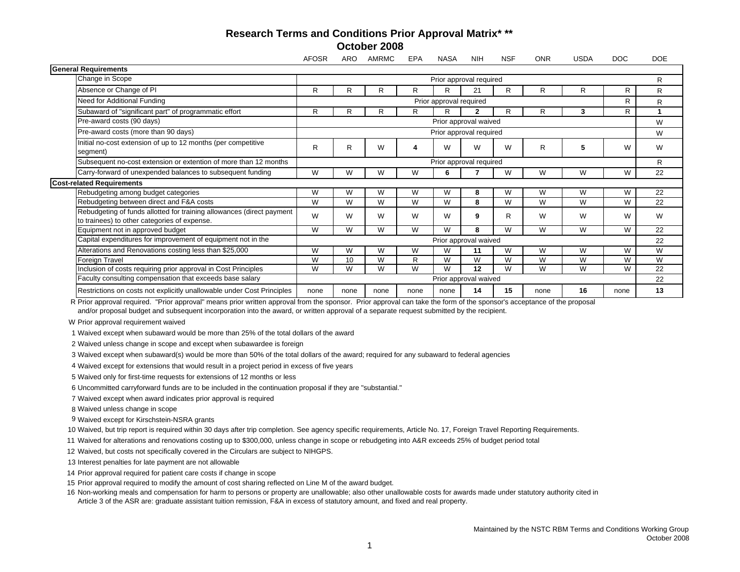## **Research Terms and Conditions Prior Approval Matrix\* \*\* October 2008**

|                                                                                                                       | <b>AFOSR</b>                 | <b>ARO</b> | <b>AMRMC</b> | <b>EPA</b> | <b>NASA</b> | <b>NIH</b> | <b>NSF</b> | <b>ONR</b> | <b>USDA</b> | <b>DOC</b>   | <b>DOE</b> |
|-----------------------------------------------------------------------------------------------------------------------|------------------------------|------------|--------------|------------|-------------|------------|------------|------------|-------------|--------------|------------|
| <b>General Requirements</b>                                                                                           |                              |            |              |            |             |            |            |            |             |              |            |
| Change in Scope                                                                                                       | Prior approval required      |            |              |            |             |            |            |            |             | R            |            |
| Absence or Change of PI                                                                                               | R                            | R          | R            | R          | R           | 21         | R          | R          | R           | $\mathsf{R}$ | R.         |
| Need for Additional Funding                                                                                           | R<br>Prior approval required |            |              |            |             |            |            |            |             |              | R          |
| Subaward of "significant part" of programmatic effort                                                                 | R                            | R          | R            | R          | R           | 2          | R          | R          | 3           | R            |            |
| Pre-award costs (90 days)                                                                                             | Prior approval waived        |            |              |            |             |            |            |            |             | W            |            |
| Pre-award costs (more than 90 days)                                                                                   | Prior approval required      |            |              |            |             |            |            |            |             | W            |            |
| Initial no-cost extension of up to 12 months (per competitive<br>segment)                                             | R                            | R          | W            |            | W           | W          | W          | R          | 5           | W            | W          |
| Subsequent no-cost extension or extention of more than 12 months                                                      | Prior approval required      |            |              |            |             |            |            |            |             |              | R          |
| Carry-forward of unexpended balances to subsequent funding                                                            | W                            | W          | W            | W          | 6           |            | W          | W          | W           | W            | 22         |
| <b>Cost-related Requirements</b>                                                                                      |                              |            |              |            |             |            |            |            |             |              |            |
| Rebudgeting among budget categories                                                                                   | W                            | W          | W            | W          | W           | 8          | W          | W          | W           | W            | 22         |
| Rebudgeting between direct and F&A costs                                                                              | W                            | W          | W            | W          | W           | 8          | W          | W          | W           | W            | 22         |
| Rebudgeting of funds allotted for training allowances (direct payment<br>to trainees) to other categories of expense. | W                            | W          | W            | W          | W           | 9          | R          | W          | W           | W            | W          |
| Equipment not in approved budget                                                                                      | W                            | W          | W            | W          | W           | 8          | W          | W          | W           | W            | 22         |
| Capital expenditures for improvement of equipment not in the                                                          | Prior approval waived        |            |              |            |             |            |            |            |             |              | 22         |
| Alterations and Renovations costing less than \$25,000                                                                | W                            | W          | W            | W          | W           | 11         | W          | W          | W           | W            | W          |
| Foreign Travel                                                                                                        | W                            | 10         | W            | R          | W           | W          | W          | W          | W           | W            | W          |
| Inclusion of costs requiring prior approval in Cost Principles                                                        | W                            | W          | W            | W          | W           | 12         | W          | W          | W           | W            | 22         |
| Faculty consulting compensation that exceeds base salary                                                              | Prior approval waived        |            |              |            |             |            |            |            |             | 22           |            |
| Restrictions on costs not explicitly unallowable under Cost Principles                                                | none                         | none       | none         | none       | none        | 14         | 15         | none       | 16          | none         | 13         |

R Prior approval required. "Prior approval" means prior written approval from the sponsor. Prior approval can take the form of the sponsor's acceptance of the proposal and/or proposal budget and subsequent incorporation into the award, or written approval of a separate request submitted by the recipient.

W Prior approval requirement waived

1Waived except when subaward would be more than 25% of the total dollars of the award

2 Waived unless change in scope and except when subawardee is foreign

3 Waived except when subaward(s) would be more than 50% of the total dollars of the award; required for any subaward to federal agencies

4 Waived except for extensions that would result in a project period in excess of five years

5Waived only for first-time requests for extensions of 12 months or less

6 Uncommitted carryforward funds are to be included in the continuation proposal if they are "substantial."

7Waived except when award indicates prior approval is required

8 Waived unless change in scope

9 Waived except for Kirschstein-NSRA grants

10 Waived, but trip report is required within 30 days after trip completion. See agency specific requirements, Article No. 17, Foreign Travel Reporting Requirements.

11 Waived for alterations and renovations costing up to \$300,000, unless change in scope or rebudgeting into A&R exceeds 25% of budget period total

12 Waived, but costs not specifically covered in the Circulars are subject to NIHGPS.

13 Interest penalties for late payment are not allowable

14 Prior approval required for patient care costs if change in scope

15 Prior approval required to modify the amount of cost sharing reflected on Line M of the award budget.

16 Non-working meals and compensation for harm to persons or property are unallowable; also other unallowable costs for awards made under statutory authority cited in Article 3 of the ASR are: graduate assistant tuition remission, F&A in excess of statutory amount, and fixed and real property.